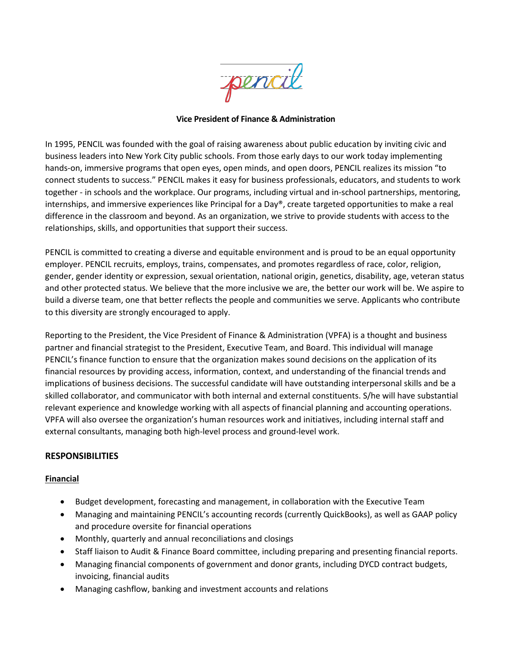pencil

## **Vice President of Finance & Administration**

In 1995, PENCIL was founded with the goal of raising awareness about public education by inviting civic and business leaders into New York City public schools. From those early days to our work today implementing hands-on, immersive programs that open eyes, open minds, and open doors, PENCIL realizes its mission "to connect students to success." PENCIL makes it easy for business professionals, educators, and students to work together - in schools and the workplace. Our programs, including virtual and in-school partnerships, mentoring, internships, and immersive experiences like Principal for a Day®, create targeted opportunities to make a real difference in the classroom and beyond. As an organization, we strive to provide students with access to the relationships, skills, and opportunities that support their success.

PENCIL is committed to creating a diverse and equitable environment and is proud to be an equal opportunity employer. PENCIL recruits, employs, trains, compensates, and promotes regardless of race, color, religion, gender, gender identity or expression, sexual orientation, national origin, genetics, disability, age, veteran status and other protected status. We believe that the more inclusive we are, the better our work will be. We aspire to build a diverse team, one that better reflects the people and communities we serve. Applicants who contribute to this diversity are strongly encouraged to apply.

Reporting to the President, the Vice President of Finance & Administration (VPFA) is a thought and business partner and financial strategist to the President, Executive Team, and Board. This individual will manage PENCIL's finance function to ensure that the organization makes sound decisions on the application of its financial resources by providing access, information, context, and understanding of the financial trends and implications of business decisions. The successful candidate will have outstanding interpersonal skills and be a skilled collaborator, and communicator with both internal and external constituents. S/he will have substantial relevant experience and knowledge working with all aspects of financial planning and accounting operations. VPFA will also oversee the organization's human resources work and initiatives, including internal staff and external consultants, managing both high-level process and ground-level work.

# **RESPONSIBILITIES**

### **Financial**

- Budget development, forecasting and management, in collaboration with the Executive Team
- Managing and maintaining PENCIL's accounting records (currently QuickBooks), as well as GAAP policy and procedure oversite for financial operations
- Monthly, quarterly and annual reconciliations and closings
- Staff liaison to Audit & Finance Board committee, including preparing and presenting financial reports.
- Managing financial components of government and donor grants, including DYCD contract budgets, invoicing, financial audits
- Managing cashflow, banking and investment accounts and relations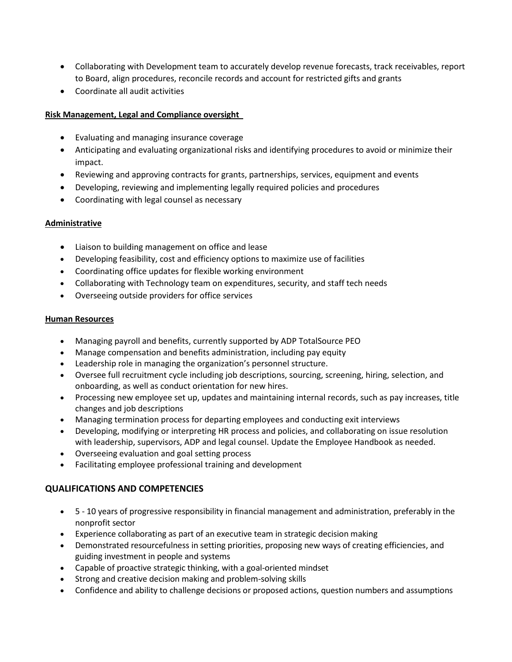- Collaborating with Development team to accurately develop revenue forecasts, track receivables, report to Board, align procedures, reconcile records and account for restricted gifts and grants
- Coordinate all audit activities

## **Risk Management, Legal and Compliance oversight**

- Evaluating and managing insurance coverage
- Anticipating and evaluating organizational risks and identifying procedures to avoid or minimize their impact.
- Reviewing and approving contracts for grants, partnerships, services, equipment and events
- Developing, reviewing and implementing legally required policies and procedures
- Coordinating with legal counsel as necessary

## **Administrative**

- Liaison to building management on office and lease
- Developing feasibility, cost and efficiency options to maximize use of facilities
- Coordinating office updates for flexible working environment
- Collaborating with Technology team on expenditures, security, and staff tech needs
- Overseeing outside providers for office services

### **Human Resources**

- Managing payroll and benefits, currently supported by ADP TotalSource PEO
- Manage compensation and benefits administration, including pay equity
- Leadership role in managing the organization's personnel structure.
- Oversee full recruitment cycle including job descriptions, sourcing, screening, hiring, selection, and onboarding, as well as conduct orientation for new hires.
- Processing new employee set up, updates and maintaining internal records, such as pay increases, title changes and job descriptions
- Managing termination process for departing employees and conducting exit interviews
- Developing, modifying or interpreting HR process and policies, and collaborating on issue resolution with leadership, supervisors, ADP and legal counsel. Update the Employee Handbook as needed.
- Overseeing evaluation and goal setting process
- Facilitating employee professional training and development

# **QUALIFICATIONS AND COMPETENCIES**

- 5 10 years of progressive responsibility in financial management and administration, preferably in the nonprofit sector
- Experience collaborating as part of an executive team in strategic decision making
- Demonstrated resourcefulness in setting priorities, proposing new ways of creating efficiencies, and guiding investment in people and systems
- Capable of proactive strategic thinking, with a goal-oriented mindset
- Strong and creative decision making and problem-solving skills
- Confidence and ability to challenge decisions or proposed actions, question numbers and assumptions